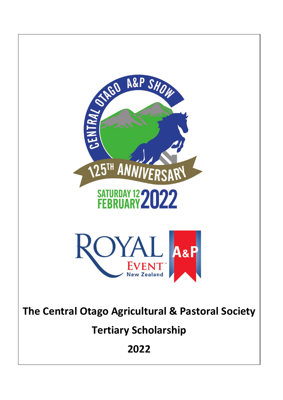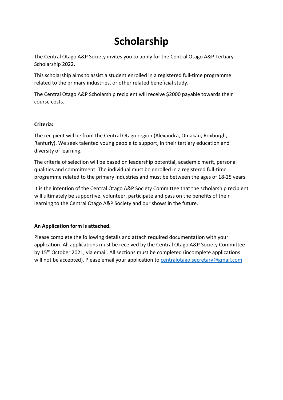# **Scholarship**

The Central Otago A&P Society invites you to apply for the Central Otago A&P Tertiary Scholarship 2022.

This scholarship aims to assist a student enrolled in a registered full-time programme related to the primary industries, or other related beneficial study.

The Central Otago A&P Scholarship recipient will receive \$2000 payable towards their course costs.

#### **Criteria:**

The recipient will be from the Central Otago region (Alexandra, Omakau, Roxburgh, Ranfurly). We seek talented young people to support, in their tertiary education and diversity of learning.

The criteria of selection will be based on leadership potential, academic merit, personal qualities and commitment. The individual must be enrolled in a registered full-time programme related to the primary industries and must be between the ages of 18-25 years.

It is the intention of the Central Otago A&P Society Committee that the scholarship recipient will ultimately be supportive, volunteer, participate and pass on the benefits of their learning to the Central Otago A&P Society and our shows in the future.

### **An Application form is attached.**

Please complete the following details and attach required documentation with your application. All applications must be received by the Central Otago A&P Society Committee by 15<sup>th</sup> October 2021, via email. All sections must be completed (incomplete applications will not be accepted). Please email your application to [centralotago.secretary@gmail.com](mailto:centralotago.secretary@gmail.com)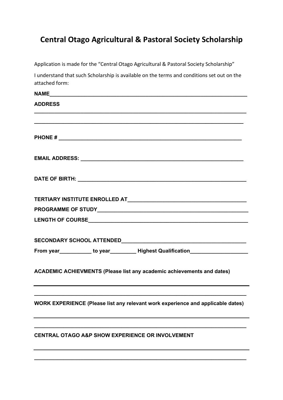## **Central Otago Agricultural & Pastoral Society Scholarship**

Application is made for the "Central Otago Agricultural & Pastoral Society Scholarship"

I understand that such Scholarship is available on the terms and conditions set out on the attached form:

| <b>ADDRESS</b>                                                                                                                                             |
|------------------------------------------------------------------------------------------------------------------------------------------------------------|
| <u> 1989 - Jan James James James James James James James James James James James James James James James James J</u>                                       |
|                                                                                                                                                            |
|                                                                                                                                                            |
|                                                                                                                                                            |
|                                                                                                                                                            |
|                                                                                                                                                            |
|                                                                                                                                                            |
|                                                                                                                                                            |
| From year____________ to year__________Highest Qualification____________________                                                                           |
| ACADEMIC ACHIEVMENTS (Please list any academic achievements and dates)<br>,我们也不会有什么。""我们的人,我们也不会有什么?""我们的人,我们也不会有什么?""我们的人,我们也不会有什么?""我们的人,我们也不会有什么?""我们的人 |
| WORK EXPERIENCE (Please list any relevant work experience and applicable dates)                                                                            |
| <b>CENTRAL OTAGO A&amp;P SHOW EXPERIENCE OR INVOLVEMENT</b>                                                                                                |
|                                                                                                                                                            |

**\_\_\_\_\_\_\_\_\_\_\_\_\_\_\_\_\_\_\_\_\_\_\_\_\_\_\_\_\_\_\_\_\_\_\_\_\_\_\_\_\_\_\_\_\_\_\_\_\_\_\_\_\_\_\_\_\_\_\_\_\_\_\_\_\_\_\_\_\_\_\_\_\_**